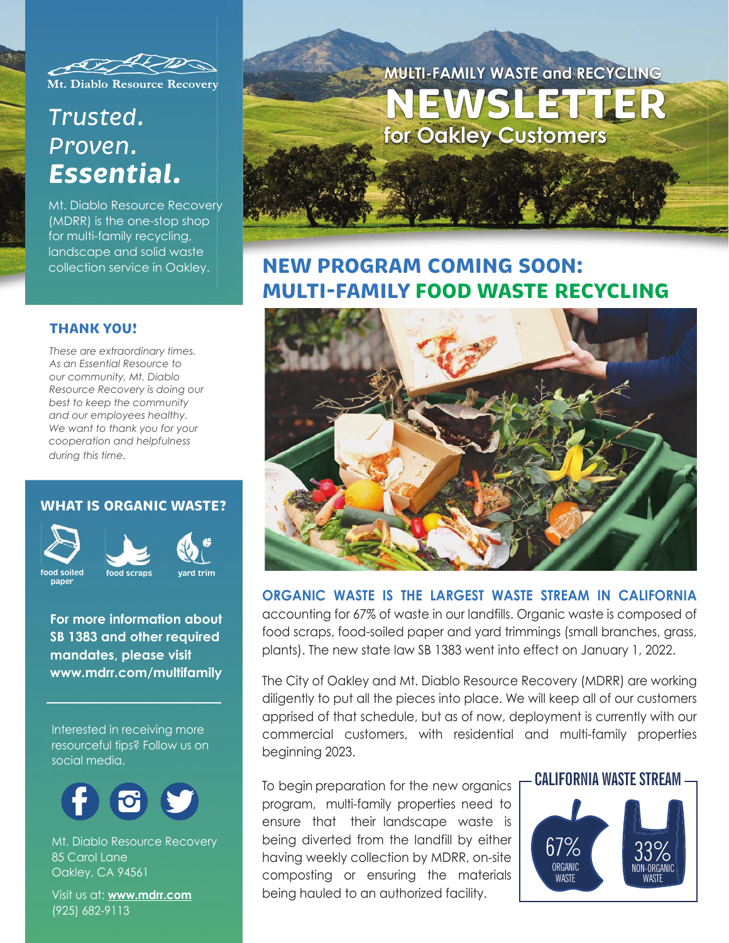

Mt. Diablo Resource Recovery

# *Trusted. Proven. Essential.*

Mt. Diablo Resource Recovery (MDRR) is the one-stop shop for multi-family recycling, landscape and solid waste collection service in Oakley.

### **THANK YOU!**

*These are extraordinary times. As an Essential Resource to our community, Mt. Diablo Resource Recovery is doing our best to keep the community and our employees healthy. We want to thank you for your cooperation and helpfulness during this time.*

### **WHAT IS ORGANIC WASTE?**



**paper**



**For more information about SB 1383 and other required mandates, please visit**

**www.mdrr.com/multifamily**

Interested in receiving more resourceful tips? Follow us on social media.



Mt. Diablo Resource Recovery 85 Carol Lane Oakley, CA 94561

Visit us at: **www.mdrr.com** (925) 682-9113



## **NEW PROGRAM COMING SOON: MULTI-FAMILY FOOD WASTE RECYCLING**



### **ORGANIC WASTE IS THE LARGEST WASTE STREAM IN CALIFORNIA**

accounting for 67% of waste in our landfills. Organic waste is composed of food scraps, food-soiled paper and yard trimmings (small branches, grass, plants). The new state law SB 1383 went into effect on January 1, 2022.

The City of Oakley and Mt. Diablo Resource Recovery (MDRR) are working diligently to put all the pieces into place. We will keep all of our customers apprised of that schedule, but as of now, deployment is currently with our commercial customers, with residential and multi-family properties beginning 2023.

To begin preparation for the new organics **- CALIFORNIA WASTE STREAM** program, multi-family properties need to ensure that their landscape waste is being diverted from the landfill by either having weekly collection by MDRR, on-site composting or ensuring the materials being hauled to an authorized facility.